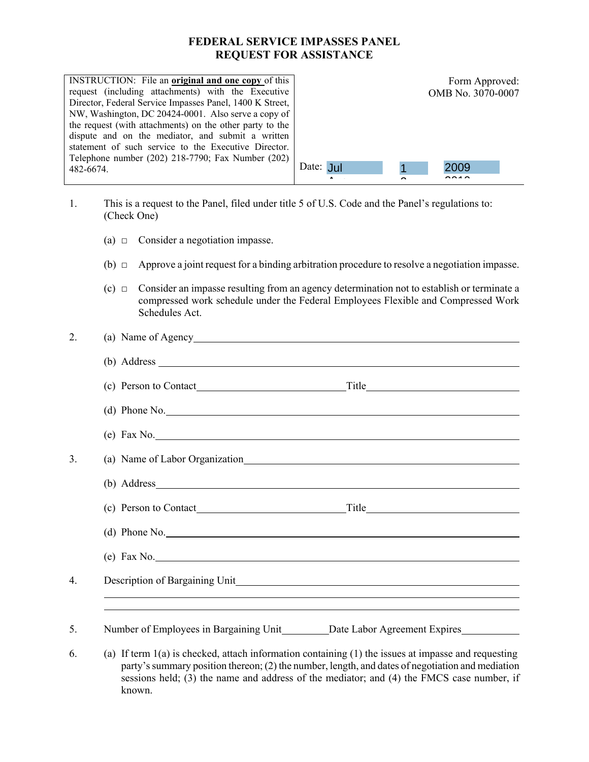## **FEDERAL SERVICE IMPASSES PANEL REQUEST FOR ASSISTANCE**

| <b>INSTRUCTION:</b> File an original and one copy of this<br>request (including attachments) with the Executive<br>Director, Federal Service Impasses Panel, 1400 K Street,<br>NW, Washington, DC 20424-0001. Also serve a copy of<br>the request (with attachments) on the other party to the<br>dispute and on the mediator, and submit a written<br>statement of such service to the Executive Director.<br>Telephone number (202) 218-7790; Fax Number (202) |           |   | Form Approved:<br>OMB No. 3070-0007 |  |
|------------------------------------------------------------------------------------------------------------------------------------------------------------------------------------------------------------------------------------------------------------------------------------------------------------------------------------------------------------------------------------------------------------------------------------------------------------------|-----------|---|-------------------------------------|--|
| 482-6674.                                                                                                                                                                                                                                                                                                                                                                                                                                                        | Date: Jul |   | 2009                                |  |
|                                                                                                                                                                                                                                                                                                                                                                                                                                                                  |           | ∽ | <b>0010</b>                         |  |

- 1. This is a request to the Panel, filed under title 5 of U.S. Code and the Panel's regulations to: (Check One)
	- (a)  $\Box$  Consider a negotiation impasse.
	- (b)  $\Box$  Approve a joint request for a binding arbitration procedure to resolve a negotiation impasse.
	- $(c)$   $\Box$  Consider an impasse resulting from an agency determination not to establish or terminate a compressed work schedule under the Federal Employees Flexible and Compressed Work Schedules Act.

| $(b)$ Address $\_\_$                                                                                    |
|---------------------------------------------------------------------------------------------------------|
|                                                                                                         |
| $(d)$ Phone No.                                                                                         |
| $(e)$ Fax No.                                                                                           |
|                                                                                                         |
| (b) Address                                                                                             |
|                                                                                                         |
| $(d)$ Phone No.                                                                                         |
| $(e)$ Fax No.                                                                                           |
|                                                                                                         |
| ,我们也不会有什么。""我们的人,我们也不会有什么?""我们的人,我们也不会有什么?""我们的人,我们也不会有什么?""我们的人,我们也不会有什么?""我们的人                        |
| Number of Employees in Bargaining Unit_________ Date Labor Agreement Expires___________                 |
| (a) If term $1(a)$ is checked, attach information containing $(1)$ the issues at impasse and requesting |

party's summary position thereon; (2) the number, length, and dates of negotiation and mediation sessions held; (3) the name and address of the mediator; and (4) the FMCS case number, if known.